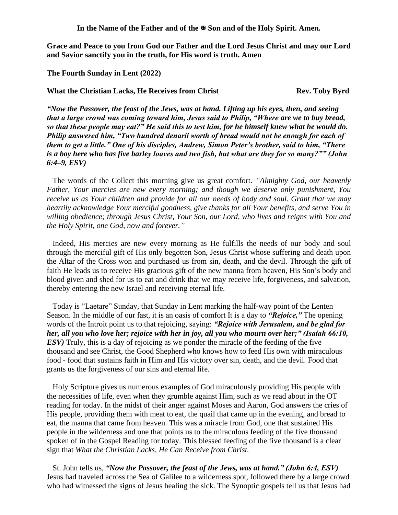In the Name of the Father and of the  $\mathbb{F}$  Son and of the Holy Spirit. Amen.

**Grace and Peace to you from God our Father and the Lord Jesus Christ and may our Lord and Savior sanctify you in the truth, for His word is truth. Amen**

**The Fourth Sunday in Lent (2022)** 

What the Christian Lacks, He Receives from Christ **Rev. Toby Byrd** 

*"Now the Passover, the feast of the Jews, was at hand. Lifting up his eyes, then, and seeing that a large crowd was coming toward him, Jesus said to Philip, "Where are we to buy bread, so that these people may eat?" He said this to test him, for he himself knew what he would do. Philip answered him, "Two hundred denarii worth of bread would not be enough for each of them to get a little." One of his disciples, Andrew, Simon Peter's brother, said to him, "There is a boy here who has five barley loaves and two fish, but what are they for so many?"" (John 6:4–9, ESV)* 

The words of the Collect this morning give us great comfort. *"Almighty God, our heavenly Father, Your mercies are new every morning; and though we deserve only punishment, You receive us as Your children and provide for all our needs of body and soul. Grant that we may heartily acknowledge Your merciful goodness, give thanks for all Your benefits, and serve You in willing obedience; through Jesus Christ, Your Son, our Lord, who lives and reigns with You and the Holy Spirit, one God, now and forever."*

Indeed, His mercies are new every morning as He fulfills the needs of our body and soul through the merciful gift of His only begotten Son, Jesus Christ whose suffering and death upon the Altar of the Cross won and purchased us from sin, death, and the devil. Through the gift of faith He leads us to receive His gracious gift of the new manna from heaven, His Son's body and blood given and shed for us to eat and drink that we may receive life, forgiveness, and salvation, thereby entering the new Israel and receiving eternal life.

Today is "Laetare" Sunday, that Sunday in Lent marking the half-way point of the Lenten Season. In the middle of our fast, it is an oasis of comfort It is a day to *"Rejoice,"* The opening words of the Introit point us to that rejoicing, saying: *"Rejoice with Jerusalem, and be glad for her, all you who love her; rejoice with her in joy, all you who mourn over her;" (Isaiah 66:10, ESV*) Truly, this is a day of rejoicing as we ponder the miracle of the feeding of the five thousand and see Christ, the Good Shepherd who knows how to feed His own with miraculous food - food that sustains faith in Him and His victory over sin, death, and the devil. Food that grants us the forgiveness of our sins and eternal life.

Holy Scripture gives us numerous examples of God miraculously providing His people with the necessities of life, even when they grumble against Him, such as we read about in the OT reading for today. In the midst of their anger against Moses and Aaron, God answers the cries of His people, providing them with meat to eat, the quail that came up in the evening, and bread to eat, the manna that came from heaven. This was a miracle from God, one that sustained His people in the wilderness and one that points us to the miraculous feeding of the five thousand spoken of in the Gospel Reading for today. This blessed feeding of the five thousand is a clear sign that *What the Christian Lacks, He Can Receive from Christ.*

St. John tells us, *"Now the Passover, the feast of the Jews, was at hand." (John 6:4, ESV)*  Jesus had traveled across the Sea of Galilee to a wilderness spot, followed there by a large crowd who had witnessed the signs of Jesus healing the sick. The Synoptic gospels tell us that Jesus had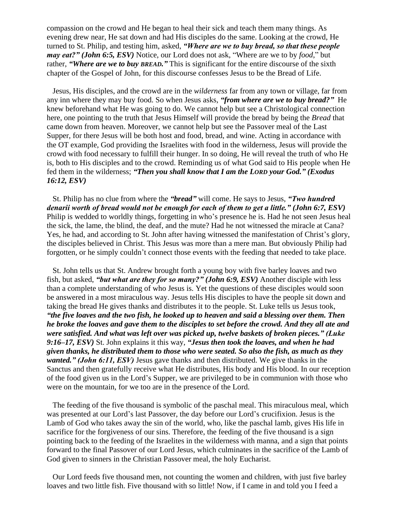compassion on the crowd and He began to heal their sick and teach them many things. As evening drew near, He sat down and had His disciples do the same. Looking at the crowd, He turned to St. Philip, and testing him, asked, *"Where are we to buy bread, so that these people may eat?" (John 6:5, ESV)* Notice, our Lord does not ask, "Where are we to by *food*," but rather, "Where are we to buy *BREAD*." This is significant for the entire discourse of the sixth chapter of the Gospel of John, for this discourse confesses Jesus to be the Bread of Life.

Jesus, His disciples, and the crowd are in the *wilderness* far from any town or village, far from any inn where they may buy food. So when Jesus asks, *"from where are we to buy bread?"* He knew beforehand what He was going to do. We cannot help but see a Christological connection here, one pointing to the truth that Jesus Himself will provide the bread by being the *Bread* that came down from heaven. Moreover, we cannot help but see the Passover meal of the Last Supper, for there Jesus will be both host and food, bread, and wine. Acting in accordance with the OT example, God providing the Israelites with food in the wilderness, Jesus will provide the crowd with food necessary to fulfill their hunger. In so doing, He will reveal the truth of who He is, both to His disciples and to the crowd. Reminding us of what God said to His people when He fed them in the wilderness; *"Then you shall know that I am the LORD your God." (Exodus 16:12, ESV)*

St. Philip has no clue from where the *"bread"* will come. He says to Jesus, *"Two hundred denarii worth of bread would not be enough for each of them to get a little." (John 6:7, ESV)* Philip is wedded to worldly things, forgetting in who's presence he is. Had he not seen Jesus heal the sick, the lame, the blind, the deaf, and the mute? Had he not witnessed the miracle at Cana? Yes, he had, and according to St. John after having witnessed the manifestation of Christ's glory, the disciples believed in Christ. This Jesus was more than a mere man. But obviously Philip had forgotten, or he simply couldn't connect those events with the feeding that needed to take place.

St. John tells us that St. Andrew brought forth a young boy with five barley loaves and two fish, but asked, *"but what are they for so many?" (John 6:9, ESV)* Another disciple with less than a complete understanding of who Jesus is. Yet the questions of these disciples would soon be answered in a most miraculous way. Jesus tells His disciples to have the people sit down and taking the bread He gives thanks and distributes it to the people. St. Luke tells us Jesus took, *"the five loaves and the two fish, he looked up to heaven and said a blessing over them. Then he broke the loaves and gave them to the disciples to set before the crowd. And they all ate and were satisfied. And what was left over was picked up, twelve baskets of broken pieces." (Luke 9:16–17, ESV)* St. John explains it this way, *"Jesus then took the loaves, and when he had given thanks, he distributed them to those who were seated. So also the fish, as much as they wanted." (John 6:11, ESV)* Jesus gave thanks and then distributed. We give thanks in the Sanctus and then gratefully receive what He distributes, His body and His blood. In our reception of the food given us in the Lord's Supper, we are privileged to be in communion with those who were on the mountain, for we too are in the presence of the Lord.

The feeding of the five thousand is symbolic of the paschal meal. This miraculous meal, which was presented at our Lord's last Passover, the day before our Lord's crucifixion. Jesus is the Lamb of God who takes away the sin of the world, who, like the paschal lamb, gives His life in sacrifice for the forgiveness of our sins. Therefore, the feeding of the five thousand is a sign pointing back to the feeding of the Israelites in the wilderness with manna, and a sign that points forward to the final Passover of our Lord Jesus, which culminates in the sacrifice of the Lamb of God given to sinners in the Christian Passover meal, the holy Eucharist.

Our Lord feeds five thousand men, not counting the women and children, with just five barley loaves and two little fish. Five thousand with so little! Now, if I came in and told you I feed a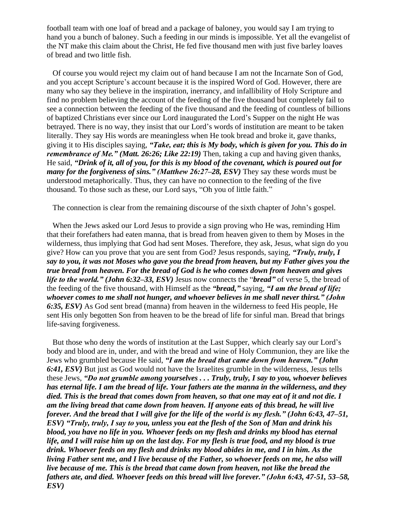football team with one loaf of bread and a package of baloney, you would say I am trying to hand you a bunch of baloney. Such a feeding in our minds is impossible. Yet all the evangelist of the NT make this claim about the Christ, He fed five thousand men with just five barley loaves of bread and two little fish.

Of course you would reject my claim out of hand because I am not the Incarnate Son of God, and you accept Scripture's account because it is the inspired Word of God. However, there are many who say they believe in the inspiration, inerrancy, and infallibility of Holy Scripture and find no problem believing the account of the feeding of the five thousand but completely fail to see a connection between the feeding of the five thousand and the feeding of countless of billions of baptized Christians ever since our Lord inaugurated the Lord's Supper on the night He was betrayed. There is no way, they insist that our Lord's words of institution are meant to be taken literally. They say His words are meaningless when He took bread and broke it, gave thanks, giving it to His disciples saying, *"Take, eat; this is My body, which is given for you. This do in remembrance of Me." (Matt. 26:26; Like 22:19)* Then, taking a cup and having given thanks, He said, *"Drink of it, all of you, for this is my blood of the covenant, which is poured out for many for the forgiveness of sins." (Matthew 26:27–28, ESV)* They say these words must be understood metaphorically. Thus, they can have no connection to the feeding of the five thousand. To those such as these, our Lord says, "Oh you of little faith."

The connection is clear from the remaining discourse of the sixth chapter of John's gospel.

When the Jews asked our Lord Jesus to provide a sign proving who He was, reminding Him that their forefathers had eaten manna, that is bread from heaven given to them by Moses in the wilderness, thus implying that God had sent Moses. Therefore, they ask, Jesus, what sign do you give? How can you prove that you are sent from God? Jesus responds, saying, *"Truly, truly, I say to you, it was not Moses who gave you the bread from heaven, but my Father gives you the true bread from heaven. For the bread of God is he who comes down from heaven and gives life to the world." (John 6:32–33, ESV)* Jesus now connects the "*bread"* of verse 5, the bread of the feeding of the five thousand, with Himself as the *"bread,"* saying, *"I am the bread of life; whoever comes to me shall not hunger, and whoever believes in me shall never thirst." (John 6:35, ESV)* As God sent bread (manna) from heaven in the wilderness to feed His people, He sent His only begotten Son from heaven to be the bread of life for sinful man. Bread that brings life-saving forgiveness.

But those who deny the words of institution at the Last Supper, which clearly say our Lord's body and blood are in, under, and with the bread and wine of Holy Communion, they are like the Jews who grumbled because He said, *"I am the bread that came down from heaven." (John 6:41, ESV)* But just as God would not have the Israelites grumble in the wilderness, Jesus tells these Jews, *"Do not grumble among yourselves . . . Truly, truly, I say to you, whoever believes has eternal life. I am the bread of life. Your fathers ate the manna in the wilderness, and they died. This is the bread that comes down from heaven, so that one may eat of it and not die. I am the living bread that came down from heaven. If anyone eats of this bread, he will live forever. And the bread that I will give for the life of the world is my flesh." (John 6:43, 47–51, ESV) "Truly, truly, I say to you, unless you eat the flesh of the Son of Man and drink his blood, you have no life in you. Whoever feeds on my flesh and drinks my blood has eternal life, and I will raise him up on the last day. For my flesh is true food, and my blood is true drink. Whoever feeds on my flesh and drinks my blood abides in me, and I in him. As the living Father sent me, and I live because of the Father, so whoever feeds on me, he also will live because of me. This is the bread that came down from heaven, not like the bread the fathers ate, and died. Whoever feeds on this bread will live forever." (John 6:43, 47-51, 53–58, ESV)*